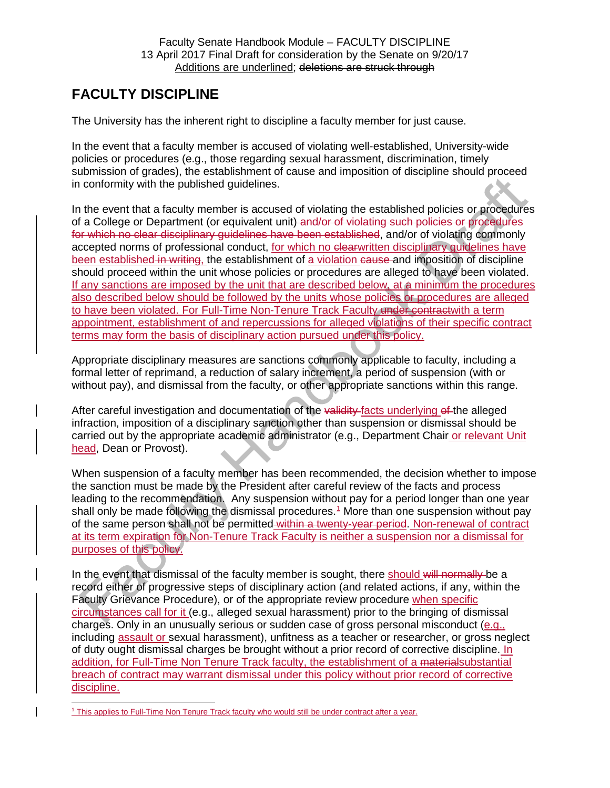## **FACULTY DISCIPLINE**

The University has the inherent right to discipline a faculty member for just cause.

In the event that a faculty member is accused of violating well-established, University-wide policies or procedures (e.g., those regarding sexual harassment, discrimination, timely submission of grades), the establishment of cause and imposition of discipline should proceed in conformity with the published guidelines.

In the event that a faculty member is accused of violating the established policies or procedures of a College or Department (or equivalent unit) and/or of violating such policies or procedures for which no clear disciplinary guidelines have been established, and/or of violating commonly accepted norms of professional conduct, for which no elearwritten disciplinary quidelines have been established in writing, the establishment of a violation cause and imposition of discipline should proceed within the unit whose policies or procedures are alleged to have been violated. If any sanctions are imposed by the unit that are described below, at a minimum the procedures also described below should be followed by the units whose policies or procedures are alleged to have been violated. For Full-Time Non-Tenure Track Faculty under contractwith a term appointment, establishment of and repercussions for alleged violations of their specific contract terms may form the basis of disciplinary action pursued under this policy.

Appropriate disciplinary measures are sanctions commonly applicable to faculty, including a formal letter of reprimand, a reduction of salary increment, a period of suspension (with or without pay), and dismissal from the faculty, or other appropriate sanctions within this range.

After careful investigation and documentation of the validity facts underlying of the alleged infraction, imposition of a disciplinary sanction other than suspension or dismissal should be carried out by the appropriate academic administrator (e.g., Department Chair or relevant Unit head, Dean or Provost).

When suspension of a faculty member has been recommended, the decision whether to impose the sanction must be made by the President after careful review of the facts and process leading to the recommendation. Any suspension without pay for a period longer than one year shall only be made following the dismissal procedures.<sup>[1](#page-0-0)</sup> More than one suspension without pay of the same person shall not be permitted within a twenty-year period. Non-renewal of contract at its term expiration for Non-Tenure Track Faculty is neither a suspension nor a dismissal for purposes of this policy.

In the event that dismissal of the faculty member is sought, there should will normally be a record either of progressive steps of disciplinary action (and related actions, if any, within the Faculty Grievance Procedure), or of the appropriate review procedure when specific circumstances call for it (e.g., alleged sexual harassment) prior to the bringing of dismissal charges. Only in an unusually serious or sudden case of gross personal misconduct (e.g., including assault or sexual harassment), unfitness as a teacher or researcher, or gross neglect of duty ought dismissal charges be brought without a prior record of corrective discipline. In addition, for Full-Time Non Tenure Track faculty, the establishment of a materialsubstantial breach of contract may warrant dismissal under this policy without prior record of corrective discipline.

<span id="page-0-0"></span> <sup>1</sup> This applies to Full-Time Non Tenure Track faculty who would still be under contract after a year.